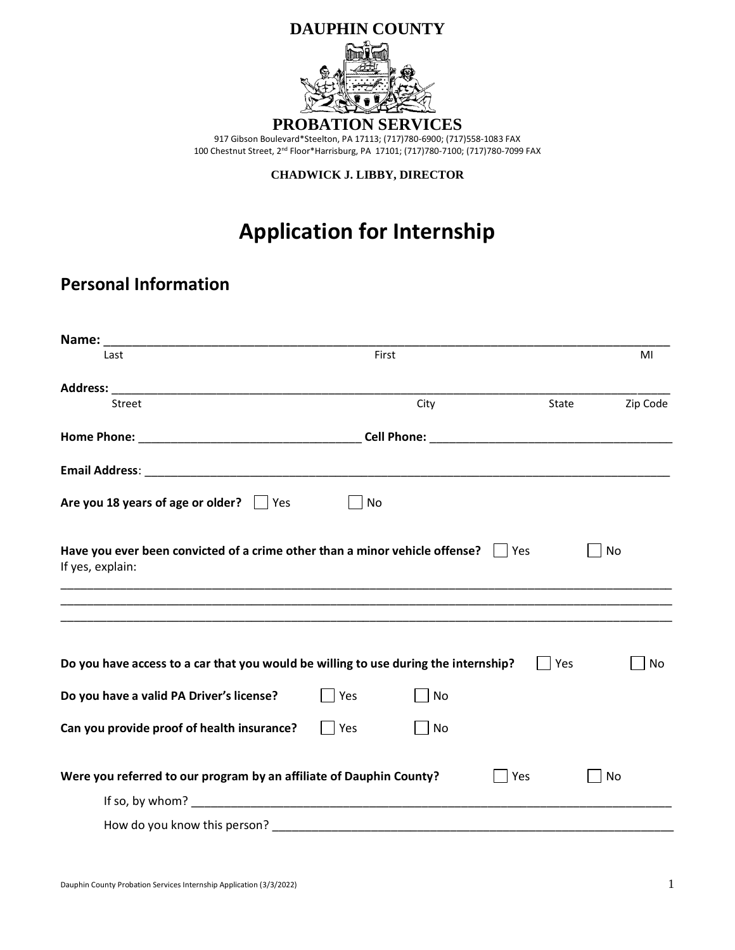

**CHADWICK J. LIBBY, DIRECTOR**

# **Application for Internship**

## **Personal Information**

| Last                                                                                            | First |      |       | MI        |
|-------------------------------------------------------------------------------------------------|-------|------|-------|-----------|
|                                                                                                 |       |      |       |           |
| Street                                                                                          |       | City | State | Zip Code  |
|                                                                                                 |       |      |       |           |
|                                                                                                 |       |      |       |           |
| Are you 18 years of age or older? $\Box$ Yes                                                    | No    |      |       |           |
| Have you ever been convicted of a crime other than a minor vehicle offense?<br>If yes, explain: |       |      | Yes   | No        |
| ,我们也不能在这里的,我们也不能在这里的时候,我们也不能不能不能不能不能不能不能不能不能不能不能不能不能不能。""我们的是我们的,我们也不能不能不能不能不能不能                |       |      |       |           |
| Do you have access to a car that you would be willing to use during the internship?             |       |      | Yes   | No        |
| Do you have a valid PA Driver's license?                                                        | Yes   | No   |       |           |
| Can you provide proof of health insurance?                                                      | Yes   | No   |       |           |
| Were you referred to our program by an affiliate of Dauphin County?                             |       |      | Yes   | <b>No</b> |
|                                                                                                 |       |      |       |           |
|                                                                                                 |       |      |       |           |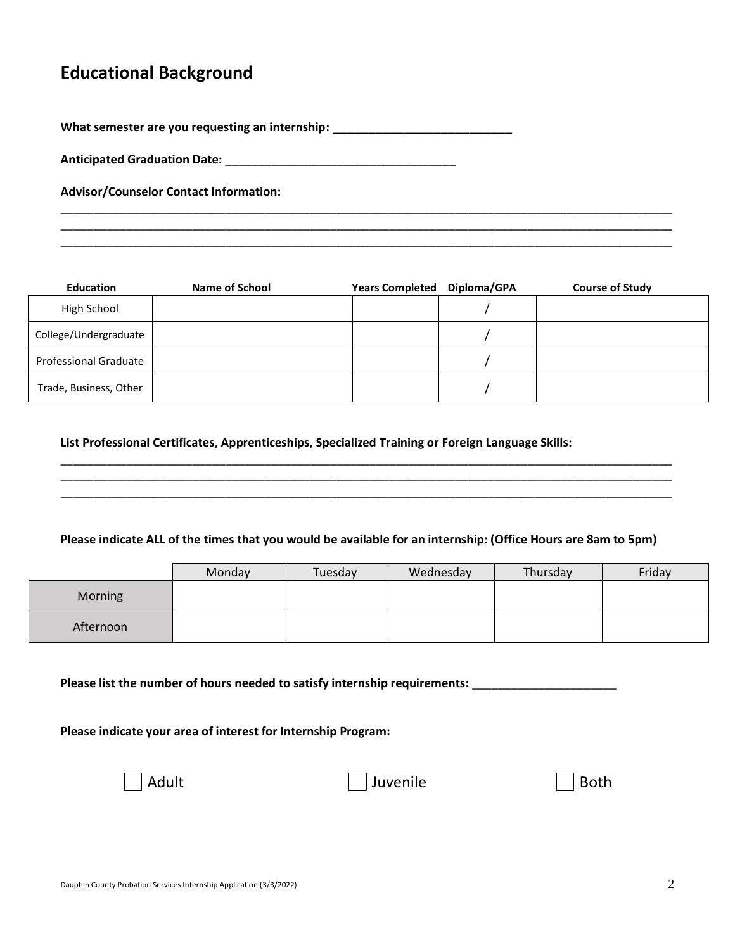### **Educational Background**

What semester are you requesting an internship: \_\_\_\_\_\_\_\_\_\_\_\_\_\_\_\_\_\_\_\_\_\_\_\_\_\_\_\_\_\_\_\_

**Anticipated Graduation Date:** \_\_\_\_\_\_\_\_\_\_\_\_\_\_\_\_\_\_\_\_\_\_\_\_\_\_\_\_\_\_\_\_\_\_\_

**Advisor/Counselor Contact Information:** 

| <b>Education</b>       | Name of School | <b>Years Completed</b> | Diploma/GPA | <b>Course of Study</b> |
|------------------------|----------------|------------------------|-------------|------------------------|
| High School            |                |                        |             |                        |
| College/Undergraduate  |                |                        |             |                        |
| Professional Graduate  |                |                        |             |                        |
| Trade, Business, Other |                |                        |             |                        |

\_\_\_\_\_\_\_\_\_\_\_\_\_\_\_\_\_\_\_\_\_\_\_\_\_\_\_\_\_\_\_\_\_\_\_\_\_\_\_\_\_\_\_\_\_\_\_\_\_\_\_\_\_\_\_\_\_\_\_\_\_\_\_\_\_\_\_\_\_\_\_\_\_\_\_\_\_\_\_\_\_\_\_\_\_\_\_\_\_\_\_\_\_ \_\_\_\_\_\_\_\_\_\_\_\_\_\_\_\_\_\_\_\_\_\_\_\_\_\_\_\_\_\_\_\_\_\_\_\_\_\_\_\_\_\_\_\_\_\_\_\_\_\_\_\_\_\_\_\_\_\_\_\_\_\_\_\_\_\_\_\_\_\_\_\_\_\_\_\_\_\_\_\_\_\_\_\_\_\_\_\_\_\_\_\_\_ \_\_\_\_\_\_\_\_\_\_\_\_\_\_\_\_\_\_\_\_\_\_\_\_\_\_\_\_\_\_\_\_\_\_\_\_\_\_\_\_\_\_\_\_\_\_\_\_\_\_\_\_\_\_\_\_\_\_\_\_\_\_\_\_\_\_\_\_\_\_\_\_\_\_\_\_\_\_\_\_\_\_\_\_\_\_\_\_\_\_\_\_\_

**List Professional Certificates, Apprenticeships, Specialized Training or Foreign Language Skills:**

#### **Please indicate ALL of the times that you would be available for an internship: (Office Hours are 8am to 5pm)**

\_\_\_\_\_\_\_\_\_\_\_\_\_\_\_\_\_\_\_\_\_\_\_\_\_\_\_\_\_\_\_\_\_\_\_\_\_\_\_\_\_\_\_\_\_\_\_\_\_\_\_\_\_\_\_\_\_\_\_\_\_\_\_\_\_\_\_\_\_\_\_\_\_\_\_\_\_\_\_\_\_\_\_\_\_\_\_\_\_\_\_\_\_ \_\_\_\_\_\_\_\_\_\_\_\_\_\_\_\_\_\_\_\_\_\_\_\_\_\_\_\_\_\_\_\_\_\_\_\_\_\_\_\_\_\_\_\_\_\_\_\_\_\_\_\_\_\_\_\_\_\_\_\_\_\_\_\_\_\_\_\_\_\_\_\_\_\_\_\_\_\_\_\_\_\_\_\_\_\_\_\_\_\_\_\_\_ \_\_\_\_\_\_\_\_\_\_\_\_\_\_\_\_\_\_\_\_\_\_\_\_\_\_\_\_\_\_\_\_\_\_\_\_\_\_\_\_\_\_\_\_\_\_\_\_\_\_\_\_\_\_\_\_\_\_\_\_\_\_\_\_\_\_\_\_\_\_\_\_\_\_\_\_\_\_\_\_\_\_\_\_\_\_\_\_\_\_\_\_\_

|                | Monday | Tuesday | Wednesday | Thursday | Friday |
|----------------|--------|---------|-----------|----------|--------|
| <b>Morning</b> |        |         |           |          |        |
| Afternoon      |        |         |           |          |        |

**Please list the number of hours needed to satisfy internship requirements:** \_\_\_\_\_\_\_\_\_\_\_\_\_\_\_\_\_\_\_\_\_\_

**Please indicate your area of interest for Internship Program:**

Juvenile **Both**